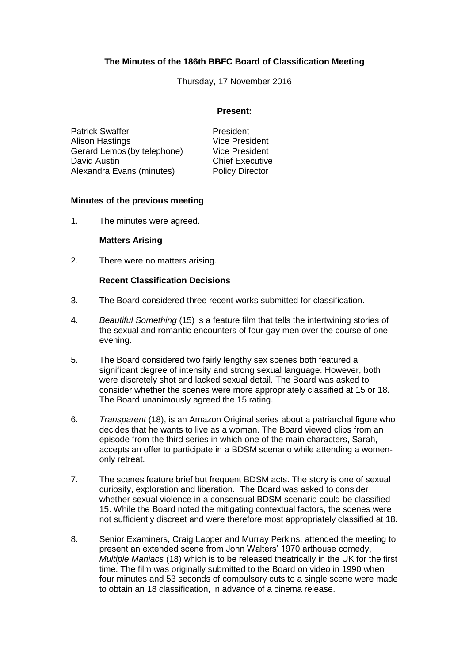# **The Minutes of the 186th BBFC Board of Classification Meeting**

Thursday, 17 November 2016

#### **Present:**

| <b>Patrick Swaffer</b>      |  |
|-----------------------------|--|
| Alison Hastings             |  |
| Gerard Lemos (by telephone) |  |
| David Austin                |  |
| Alexandra Evans (minutes)   |  |

President Vice President lice President Chief Executive Policy Director

### **Minutes of the previous meeting**

1. The minutes were agreed.

### **Matters Arising**

2. There were no matters arising.

### **Recent Classification Decisions**

- 3. The Board considered three recent works submitted for classification.
- 4. *Beautiful Something* (15) is a feature film that tells the intertwining stories of the sexual and romantic encounters of four gay men over the course of one evening.
- 5. The Board considered two fairly lengthy sex scenes both featured a significant degree of intensity and strong sexual language. However, both were discretely shot and lacked sexual detail. The Board was asked to consider whether the scenes were more appropriately classified at 15 or 18. The Board unanimously agreed the 15 rating.
- 6. *Transparent* (18), is an Amazon Original series about a patriarchal figure who decides that he wants to live as a woman. The Board viewed clips from an episode from the third series in which one of the main characters, Sarah, accepts an offer to participate in a BDSM scenario while attending a womenonly retreat.
- 7. The scenes feature brief but frequent BDSM acts. The story is one of sexual curiosity, exploration and liberation. The Board was asked to consider whether sexual violence in a consensual BDSM scenario could be classified 15. While the Board noted the mitigating contextual factors, the scenes were not sufficiently discreet and were therefore most appropriately classified at 18.
- 8. Senior Examiners, Craig Lapper and Murray Perkins, attended the meeting to present an extended scene from John Walters' 1970 arthouse comedy, *Multiple Maniacs* (18) which is to be released theatrically in the UK for the first time. The film was originally submitted to the Board on video in 1990 when four minutes and 53 seconds of compulsory cuts to a single scene were made to obtain an 18 classification, in advance of a cinema release.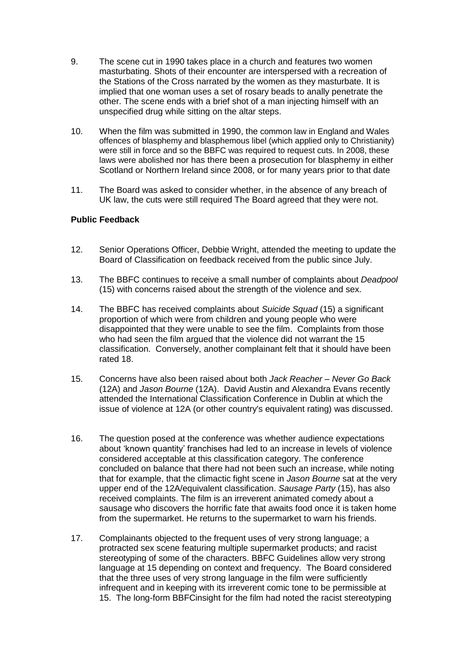- 9. The scene cut in 1990 takes place in a church and features two women masturbating. Shots of their encounter are interspersed with a recreation of the Stations of the Cross narrated by the women as they masturbate. It is implied that one woman uses a set of rosary beads to anally penetrate the other. The scene ends with a brief shot of a man injecting himself with an unspecified drug while sitting on the altar steps.
- 10. When the film was submitted in 1990, the common law in England and Wales offences of blasphemy and blasphemous libel (which applied only to Christianity) were still in force and so the BBFC was required to request cuts. In 2008, these laws were abolished nor has there been a prosecution for blasphemy in either Scotland or Northern Ireland since 2008, or for many years prior to that date
- 11. The Board was asked to consider whether, in the absence of any breach of UK law, the cuts were still required The Board agreed that they were not.

## **Public Feedback**

- 12. Senior Operations Officer, Debbie Wright, attended the meeting to update the Board of Classification on feedback received from the public since July.
- 13. The BBFC continues to receive a small number of complaints about *Deadpool* (15) with concerns raised about the strength of the violence and sex.
- 14. The BBFC has received complaints about *Suicide Squad* (15) a significant proportion of which were from children and young people who were disappointed that they were unable to see the film. Complaints from those who had seen the film argued that the violence did not warrant the 15 classification. Conversely, another complainant felt that it should have been rated 18.
- 15. Concerns have also been raised about both *Jack Reacher – Never Go Back* (12A) and *Jason Bourne* (12A). David Austin and Alexandra Evans recently attended the International Classification Conference in Dublin at which the issue of violence at 12A (or other country's equivalent rating) was discussed.
- 16. The question posed at the conference was whether audience expectations about 'known quantity' franchises had led to an increase in levels of violence considered acceptable at this classification category. The conference concluded on balance that there had not been such an increase, while noting that for example, that the climactic fight scene in *Jason Bourne* sat at the very upper end of the 12A/equivalent classification. *Sausage Party* (15), has also received complaints. The film is an irreverent animated comedy about a sausage who discovers the horrific fate that awaits food once it is taken home from the supermarket. He returns to the supermarket to warn his friends.
- 17. Complainants objected to the frequent uses of very strong language; a protracted sex scene featuring multiple supermarket products; and racist stereotyping of some of the characters. BBFC Guidelines allow very strong language at 15 depending on context and frequency. The Board considered that the three uses of very strong language in the film were sufficiently infrequent and in keeping with its irreverent comic tone to be permissible at 15. The long-form BBFCinsight for the film had noted the racist stereotyping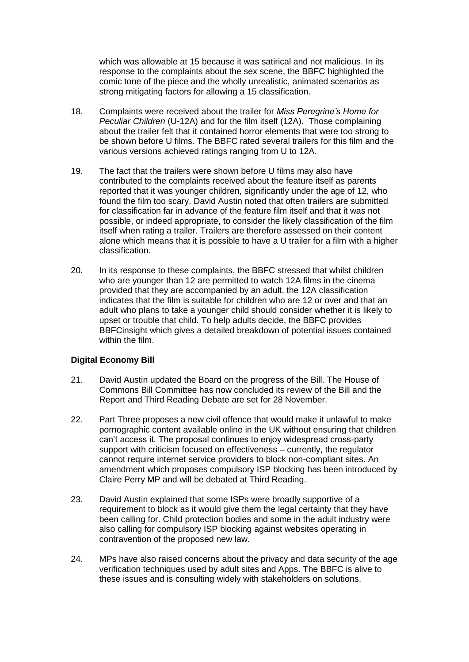which was allowable at 15 because it was satirical and not malicious. In its response to the complaints about the sex scene, the BBFC highlighted the comic tone of the piece and the wholly unrealistic, animated scenarios as strong mitigating factors for allowing a 15 classification.

- 18. Complaints were received about the trailer for *Miss Peregrine's Home for Peculiar Children* (U-12A) and for the film itself (12A). Those complaining about the trailer felt that it contained horror elements that were too strong to be shown before U films. The BBFC rated several trailers for this film and the various versions achieved ratings ranging from U to 12A.
- 19. The fact that the trailers were shown before U films may also have contributed to the complaints received about the feature itself as parents reported that it was younger children, significantly under the age of 12, who found the film too scary. David Austin noted that often trailers are submitted for classification far in advance of the feature film itself and that it was not possible, or indeed appropriate, to consider the likely classification of the film itself when rating a trailer. Trailers are therefore assessed on their content alone which means that it is possible to have a U trailer for a film with a higher classification.
- 20. In its response to these complaints, the BBFC stressed that whilst children who are younger than 12 are permitted to watch 12A films in the cinema provided that they are accompanied by an adult, the 12A classification indicates that the film is suitable for children who are 12 or over and that an adult who plans to take a younger child should consider whether it is likely to upset or trouble that child. To help adults decide, the BBFC provides BBFCinsight which gives a detailed breakdown of potential issues contained within the film.

## **Digital Economy Bill**

- 21. David Austin updated the Board on the progress of the Bill. The House of Commons Bill Committee has now concluded its review of the Bill and the Report and Third Reading Debate are set for 28 November.
- 22. Part Three proposes a new civil offence that would make it unlawful to make pornographic content available online in the UK without ensuring that children can't access it. The proposal continues to enjoy widespread cross-party support with criticism focused on effectiveness – currently, the regulator cannot require internet service providers to block non-compliant sites. An amendment which proposes compulsory ISP blocking has been introduced by Claire Perry MP and will be debated at Third Reading.
- 23. David Austin explained that some ISPs were broadly supportive of a requirement to block as it would give them the legal certainty that they have been calling for. Child protection bodies and some in the adult industry were also calling for compulsory ISP blocking against websites operating in contravention of the proposed new law.
- 24. MPs have also raised concerns about the privacy and data security of the age verification techniques used by adult sites and Apps. The BBFC is alive to these issues and is consulting widely with stakeholders on solutions.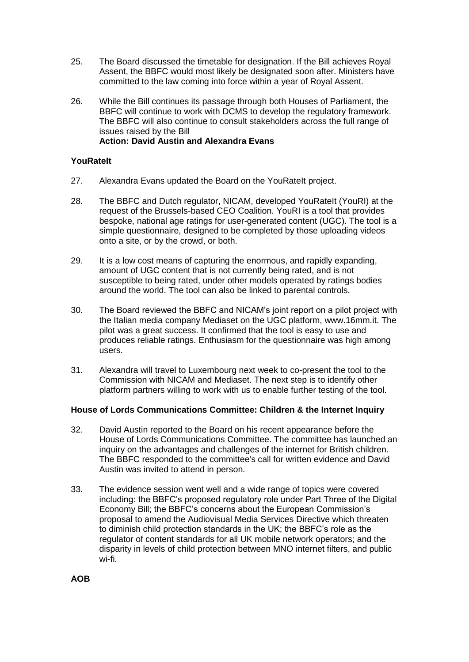- 25. The Board discussed the timetable for designation. If the Bill achieves Royal Assent, the BBFC would most likely be designated soon after. Ministers have committed to the law coming into force within a year of Royal Assent.
- 26. While the Bill continues its passage through both Houses of Parliament, the BBFC will continue to work with DCMS to develop the regulatory framework. The BBFC will also continue to consult stakeholders across the full range of issues raised by the Bill **Action: David Austin and Alexandra Evans**

## **YouRateIt**

- 27. Alexandra Evans updated the Board on the YouRateIt project.
- 28. The BBFC and Dutch regulator, NICAM, developed YouRateIt (YouRI) at the request of the Brussels-based CEO Coalition. YouRI is a tool that provides bespoke, national age ratings for user-generated content (UGC). The tool is a simple questionnaire, designed to be completed by those uploading videos onto a site, or by the crowd, or both.
- 29. It is a low cost means of capturing the enormous, and rapidly expanding, amount of UGC content that is not currently being rated, and is not susceptible to being rated, under other models operated by ratings bodies around the world. The tool can also be linked to parental controls.
- 30. The Board reviewed the BBFC and NICAM's joint report on a pilot project with the Italian media company Mediaset on the UGC platform, www.16mm.it. The pilot was a great success. It confirmed that the tool is easy to use and produces reliable ratings. Enthusiasm for the questionnaire was high among users.
- 31. Alexandra will travel to Luxembourg next week to co-present the tool to the Commission with NICAM and Mediaset. The next step is to identify other platform partners willing to work with us to enable further testing of the tool.

## **House of Lords Communications Committee: Children & the Internet Inquiry**

- 32. David Austin reported to the Board on his recent appearance before the House of Lords Communications Committee. The committee has launched an inquiry on the advantages and challenges of the internet for British children. The BBFC responded to the committee's call for written evidence and David Austin was invited to attend in person.
- 33. The evidence session went well and a wide range of topics were covered including: the BBFC's proposed regulatory role under Part Three of the Digital Economy Bill; the BBFC's concerns about the European Commission's proposal to amend the Audiovisual Media Services Directive which threaten to diminish child protection standards in the UK; the BBFC's role as the regulator of content standards for all UK mobile network operators; and the disparity in levels of child protection between MNO internet filters, and public wi-fi.

**AOB**